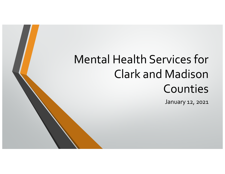# Mental Health Services for Clark and Madison Counties

January 12, 2021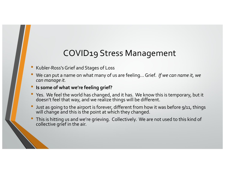### COVID19 Stress Management

- Kubler-Ross's Grief and Stages of Loss
- We can put a name on what many of us are feeling… Grief. *If we can name it, we can manage it.*
- **Is some of what we're feeling grief?**
- Yes. We feel the world has changed, and it has. We know this is temporary, but it doesn't feel that way, and we realize things will be different.
- Just as going to the airport is forever, different from how it was before 9/11, things will change and this is the point at which they changed.
- This is hitting us and we're grieving. Collectively. We are not used to this kind of collective grief in the air.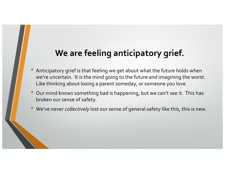# **We are feeling anticipatory grief.**

- Anticipatory grief is that feeling we get about what the future holds when we're uncertain. It is the mind going to the future and imagining the worst. Like thinking about losing a parent someday, or someone you love.
- Our mind knows something bad is happening, but we can't see it. This has broken our sense of safety.
- We've never *collectively* lost our sense of general safety like this, this is new.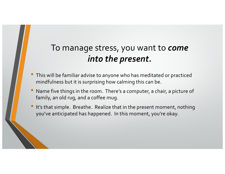# To manage stress, you want to *come into the present.*

- This will be familiar advise to anyone who has meditated or practiced mindfulness but it is surprising how calming this can be.
- Name five things in the room. There's a computer, a chair, a picture of family, an old rug, and a coffee mug.
- It's that simple. Breathe. Realize that in the present moment, nothing you've anticipated has happened. In this moment, you're okay.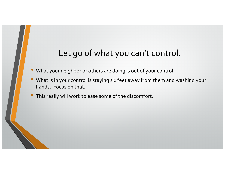# Let go of what you can't control.

- What your neighbor or others are doing is out of your control.
- What is in your control is staying six feet away from them and washing your hands. Focus on that.
- This really will work to ease some of the discomfort.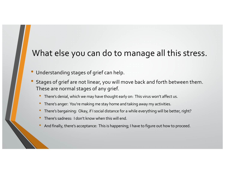## What else you can do to manage all this stress.

- Understanding stages of grief can help.
- Stages of grief are not linear, you will move back and forth between them. These are normal stages of any grief.
	- There's denial, which we may have thought early on: This virus won't affect us.
	- There's anger: You're making me stay home and taking away my activities.
	- There's bargaining: Okay, if I social distance for a while everything will be better, right?
	- There's sadness: I don't know when this will end.
	- And finally, there's acceptance: This is happening; I have to figure out how to proceed.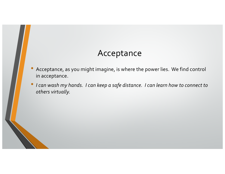#### Acceptance

- Acceptance, as you might imagine, is where the power lies. We find control in acceptance.
- *I can wash my hands. I can keep a safe distance. I can learn how to connect to others virtually.*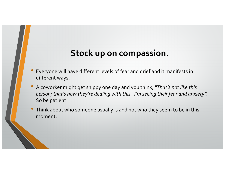## **Stock up on compassion.**

- Everyone will have different levels of fear and grief and it manifests in different ways.
- A coworker might get snippy one day and you think, *"That's not like this person; that's how they're dealing with this. I'm seeing their fear and anxiety".*  So be patient.
- Think about who someone usually is and not who they seem to be in this moment.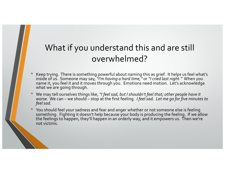# What if you understand this and are still overwhelmed?

- Keep trying. There is something powerful about naming this as grief. It helps us feel what's inside of us. Someone may say, *"I'm having a hard time,"* or *"I cried last night."* When you name it, you feel it and it moves through you. Emotions need motion. Let's acknowledge what we are going through.
- We may tell ourselves things like, *"I feel sad, but I shouldn't feel that; other people have it worse.* We can – we should – stop at the first feeling. *I feel sad. Let me go for five minutes to feel sad.*
- You should feel your sadness and fear and anger whether or not someone else is feeling something. Fighting it doesn't help because your body is producing the feeling. If we allow the feelings to happen, they'll happen in an orderly way, and it empowers us. Then we're not victims.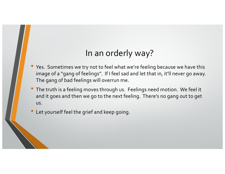## In an orderly way?

- Yes. Sometimes we try not to feel what we're feeling because we have this image of a "gang of feelings". If I feel sad and let that in, it'll never go away. The gang of bad feelings will overrun me.
- The truth is a feeling moves through us. Feelings need motion. We feel it and it goes and then we go to the next feeling. There's no gang out to get us.
- Let yourself feel the grief and keep going.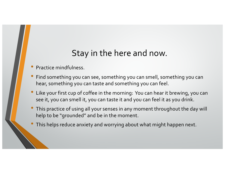## Stay in the here and now.

- Practice mindfulness.
- Find something you can see, something you can smell, something you can hear, something you can taste and something you can feel.
- Like your first cup of coffee in the morning: You can hear it brewing, you can see it, you can smell it, you can taste it and you can feel it as you drink.
- This practice of using all your senses in any moment throughout the day will help to be "grounded" and be in the moment.
- This helps reduce anxiety and worrying about what might happen next.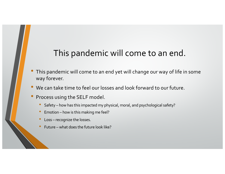# This pandemic will come to an end.

- This pandemic will come to an end yet will change our way of life in some way forever.
- We can take time to feel our losses and look forward to our future.
- Process using the SELF model.
	- Safety how has this impacted my physical, moral, and psychological safety?
	- Emotion how is this making me feel?
	- Loss recognize the losses.
	- Future what does the future look like?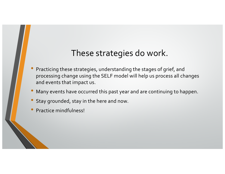### These strategies do work.

- Practicing these strategies, understanding the stages of grief, and processing change using the SELF model will help us process all changes and events that impact us.
- Many events have occurred this past year and are continuing to happen.
- Stay grounded, stay in the here and now.
- Practice mindfulness!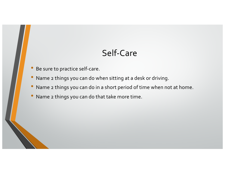### Self-Care

- Be sure to practice self-care.
- Name 2 things you can do when sitting at a desk or driving.
- Name 2 things you can do in a short period of time when not at home.
- Name 2 things you can do that take more time.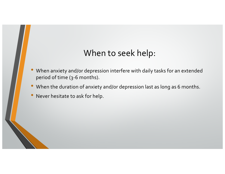### When to seek help:

- When anxiety and/or depression interfere with daily tasks for an extended period of time (3-6 months).
- When the duration of anxiety and/or depression last as long as 6 months.
- Never hesitate to ask for help.